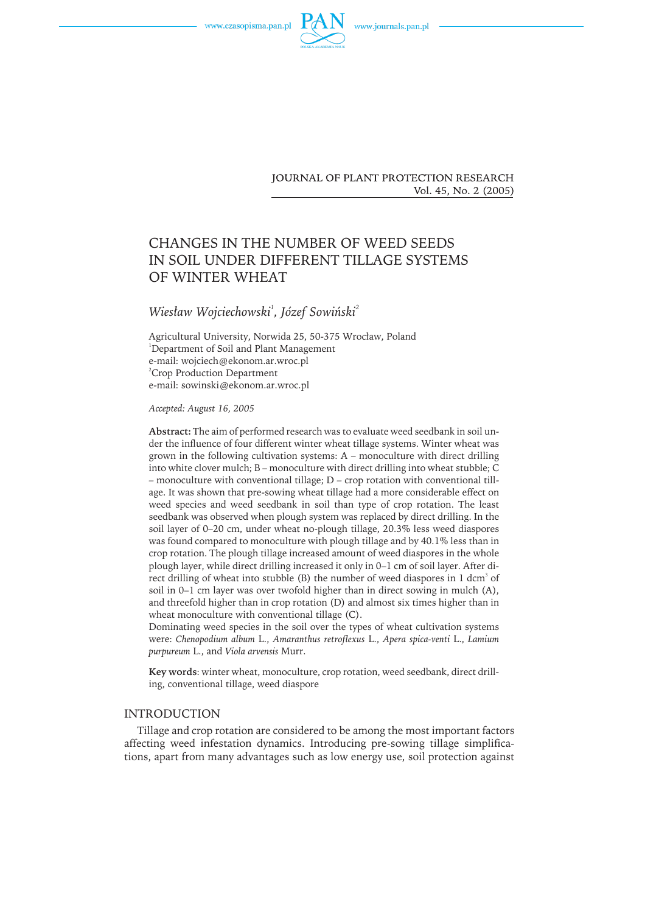



**JOURNAL OF PLANT PROTECTION RESEARCH** Vol. 45, No. 2 (2005)

# CHANGES IN THE NUMBER OF WEED SEEDS IN SOIL UNDER DIFFERENT TILLAGE SYSTEMS OF WINTER WHEAT

# $W$ iesław Wojciechowski<sup>1</sup>, Józef Sowiński $^2$

Agricultural University, Norwida 25, 50-375 Wrocław, Poland 1 Department of Soil and Plant Management e-mail: wojciech@ekonom.ar.wroc.pl <sup>2</sup>Crop Production Department e-mail: sowinski@ekonom.ar.wroc.pl

*Accepted: August 16, 2005*

**Abstract:** The aim of performed research was to evaluate weed seedbank in soil under the influence of four different winter wheat tillage systems. Winter wheat was grown in the following cultivation systems: A – monoculture with direct drilling into white clover mulch; B – monoculture with direct drilling into wheat stubble; C – monoculture with conventional tillage; D – crop rotation with conventional tillage. It was shown that pre-sowing wheat tillage had a more considerable effect on weed species and weed seedbank in soil than type of crop rotation. The least seedbank was observed when plough system was replaced by direct drilling. In the soil layer of 0–20 cm, under wheat no-plough tillage, 20.3% less weed diaspores wasfound compared to monoculture with plough tillage and by 40.1% lessthan in crop rotation. The plough tillage increased amount of weed diaspores in the whole plough layer, while direct drilling increased it only in 0–1 cm of soil layer. After direct drilling of wheat into stubble (B) the number of weed diaspores in  $1$  dcm $^3$  of soil in 0–1 cm layer was over twofold higher than in direct sowing in mulch (A), and threefold higher than in crop rotation (D) and almost six times higher than in wheat monoculture with conventional tillage (C).

Dominating weed species in the soil over the types of wheat cultivation systems were: *Chenopodium album* L., *Amaranthus retroflexus* L., *Apera spica-venti* L., *Lamium purpureum* L., and *Viola arvensis* Murr.

**Key words**: winter wheat, monoculture, crop rotation, weed seedbank, direct drilling, conventional tillage, weed diaspore

# INTRODUCTION

Tillage and crop rotation are considered to be among the most important factors affecting weed infestation dynamics. Introducing pre-sowing tillage simplifications, apart from many advantages such as low energy use, soil protection against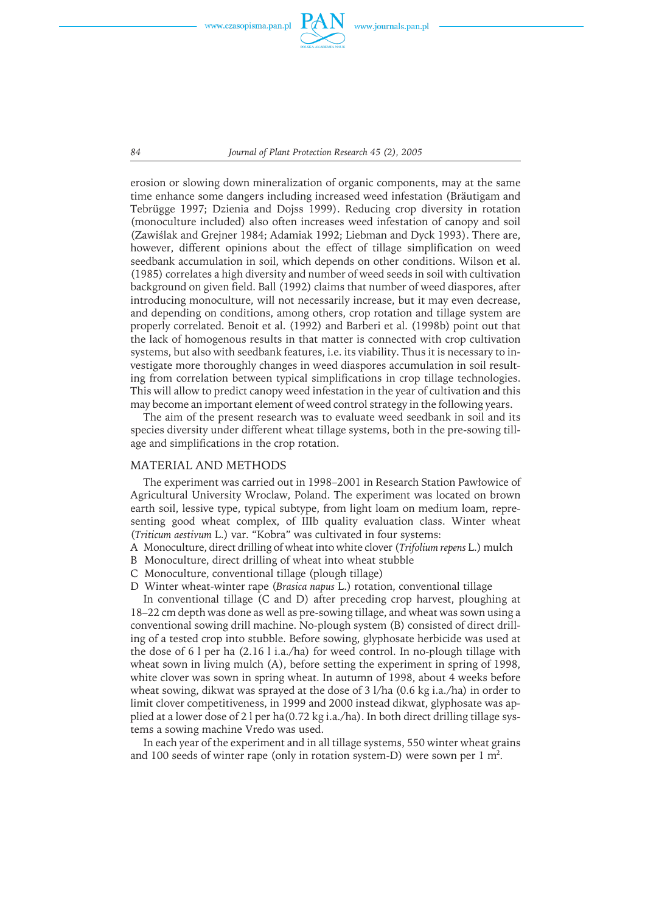

*84 Journal of Plant Protection Research 45 (2), 2005*

erosion or slowing down mineralization of organic components, may at the same time enhance some dangers including increased weed infestation (Bräutigam and Tebrügge 1997; Dzienia and Dojss 1999). Reducing crop diversity in rotation (monoculture included) also often increases weed infestation of canopy and soil (Zawiślak and Grejner 1984; Adamiak 1992; Liebman and Dyck 1993). There are, however, different opinions about the effect of tillage simplification on weed seedbank accumulation in soil, which depends on other conditions. Wilson et al. (1985) correlates a high diversity and number of weed seeds in soil with cultivation background on given field. Ball (1992) claims that number of weed diaspores, after introducing monoculture, will not necessarily increase, but it may even decrease, and depending on conditions, among others, crop rotation and tillage system are properly correlated. Benoit et al. (1992) and Barberi et al. (1998b) point out that the lack of homogenous results in that matter is connected with crop cultivation systems, but also with seedbank features, i.e. its viability. Thus it is necessary to investigate more thoroughly changes in weed diaspores accumulation in soil resulting from correlation between typical simplifications in crop tillage technologies. Thiswill allow to predict canopy weed infestation in the year of cultivation and this may become an important element of weed control strategy in the following years.

The aim of the present research was to evaluate weed seedbank in soil and its species diversity under different wheat tillage systems, both in the pre-sowing tillage and simplifications in the crop rotation.

#### MATERIAL AND METHODS

The experiment was carried out in 1998–2001 in Research Station Pawłowice of Agricultural University Wroclaw, Poland. The experiment was located on brown earth soil, lessive type, typical subtype, from light loam on medium loam, representing good wheat complex, of IIIb quality evaluation class. Winter wheat (*Triticum aestivum* L.) var. "Kobra" was cultivated in four systems:

- A Monoculture, direct drilling of wheat into white clover (*Trifolium repens* L.) mulch
- B Monoculture, direct drilling of wheat into wheat stubble
- C Monoculture, conventional tillage (plough tillage)
- D Winter wheat-winter rape (*Brasica napus* L.) rotation, conventional tillage

In conventional tillage (C and D) after preceding crop harvest, ploughing at 18–22 cm depth was done as well as pre-sowing tillage, and wheat was sown using a conventional sowing drill machine. No-plough system (B) consisted of direct drilling of a tested crop into stubble. Before sowing, glyphosate herbicide was used at the dose of 6 l per ha (2.16 l i.a./ha) for weed control. In no-plough tillage with wheat sown in living mulch (A), before setting the experiment in spring of 1998, white clover was sown in spring wheat. In autumn of 1998, about 4 weeks before wheat sowing, dikwat was sprayed at the dose of 3 l/ha (0.6 kg i.a./ha) in order to limit clover competitiveness, in 1999 and 2000 instead dikwat, glyphosate was applied at a lower dose of 2 l per ha(0.72 kg i.a./ha). In both direct drilling tillage systems a sowing machine Vredo was used.

In each year of the experiment and in all tillage systems, 550 winter wheat grains and 100 seeds of winter rape (only in rotation system-D) were sown per 1 m<sup>2</sup>.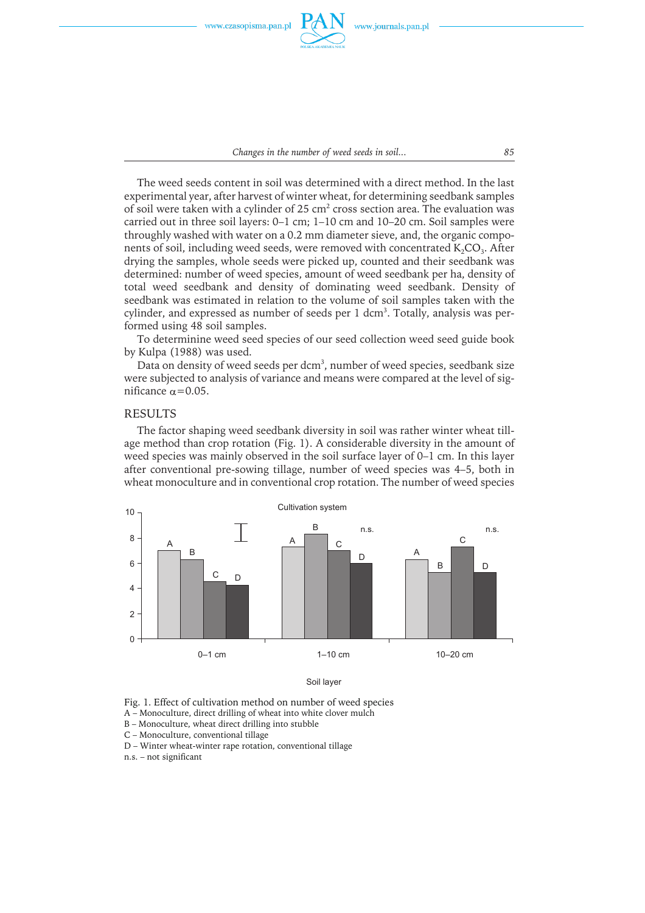

*Changes in the number of weed seeds in soil... 85*

The weed seeds content in soil was determined with a direct method. In the last experimental year, after harvest of winter wheat, for determining seedbank samples of soil were taken with a cylinder of 25 cm<sup>2</sup> cross section area. The evaluation was carried out in three soil layers: 0–1 cm; 1–10 cm and 10–20 cm. Soil samples were throughly washed with water on a 0.2 mm diameter sieve, and, the organic components of soil, including weed seeds, were removed with concentrated  $K_2CO_3$ . After drying the samples, whole seeds were picked up, counted and their seedbank was determined: number of weed species, amount of weed seedbank per ha, density of total weed seedbank and density of dominating weed seedbank. Density of seedbank was estimated in relation to the volume of soil samples taken with the cylinder, and expressed as number of seeds per 1 dcm<sup>3</sup>. Totally, analysis was performed using 48 soil samples.

To determinine weed seed species of our seed collection weed seed guide book by Kulpa (1988) was used.

Data on density of weed seeds per dcm<sup>3</sup>, number of weed species, seedbank size were subjected to analysis of variance and means were compared at the level of significance  $\alpha$ =0.05.

# RESULTS

The factor shaping weed seedbank diversity in soil was rather winter wheat tillage method than crop rotation (Fig. 1). A considerable diversity in the amount of weed species was mainly observed in the soil surface layer of 0–1 cm. In this layer after conventional pre-sowing tillage, number of weed species was 4–5, both in wheat monoculture and in conventional crop rotation. The number of weed species



Soil layer

Fig. 1. Effect of cultivation method on number of weed species

A – Monoculture, direct drilling of wheat into white clover mulch

B – Monoculture, wheat direct drilling into stubble

C – Monoculture, conventional tillage

D – Winter wheat-winter rape rotation, conventional tillage

n.s. – not significant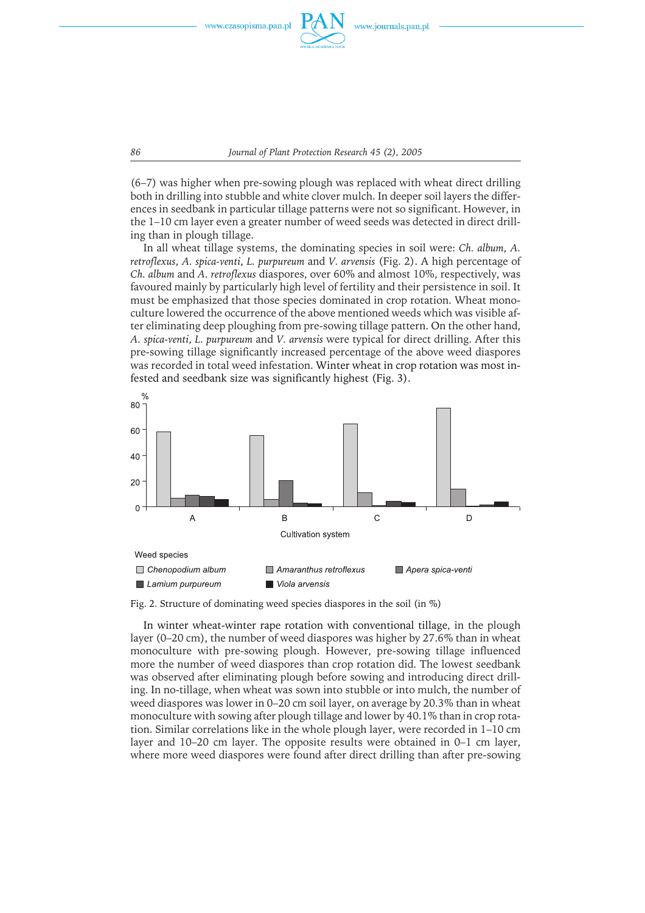

*86 Journal of Plant Protection Research 45 (2), 2005*

 $(6-7)$  was higher when pre-sowing plough was replaced with wheat direct drilling both in drilling into stubble and white clover mulch. In deeper soil layers the differences in seedbank in particular tillage patterns were not so significant. However, in the 1–10 cm layer even a greater number of weed seeds was detected in direct drilling than in plough tillage.

In all wheat tillage systems, the dominating species in soil were: *Ch. album*, *A. retroflexus*, *A. spica-venti*, *L. purpureum* and *V. arvensis* (Fig. 2). A high percentage of *Ch. album* and *A. retroflexus* diaspores, over 60% and almost 10%, respectively, was favoured mainly by particularly high level of fertility and their persistence in soil. It must be emphasized that those species dominated in crop rotation. Wheat monoculture lowered the occurrence of the above mentioned weeds which was visible after eliminating deep ploughing from pre-sowing tillage pattern. On the other hand, *A. spica-venti*, *L. purpureum* and *V. arvensis* were typical for direct drilling. After this pre-sowing tillage significantly increased percentage of the above weed diaspores was recorded in total weed infestation. Winter wheat in crop rotation was most infested and seedbank size was significantly highest (Fig. 3).



Fig. 2. Structure of dominating weed species diaspores in the soil (in %)

In winter wheat-winter rape rotation with conventional tillage, in the plough layer (0–20 cm), the number of weed diaspores was higher by 27.6% than in wheat monoculture with pre-sowing plough. However, pre-sowing tillage influenced more the number of weed diaspores than crop rotation did. The lowest seedbank was observed after eliminating plough before sowing and introducing direct drilling. In no-tillage, when wheat was sown into stubble or into mulch, the number of weed diaspores was lower in 0–20 cm soil layer, on average by 20.3% than in wheat monoculture with sowing after plough tillage and lower by 40.1% than in crop rotation. Similar correlations like in the whole plough layer, were recorded in 1-10 cm layer and 10–20 cm layer. The opposite results were obtained in 0–1 cm layer, where more weed diaspores were found after direct drilling than after pre-sowing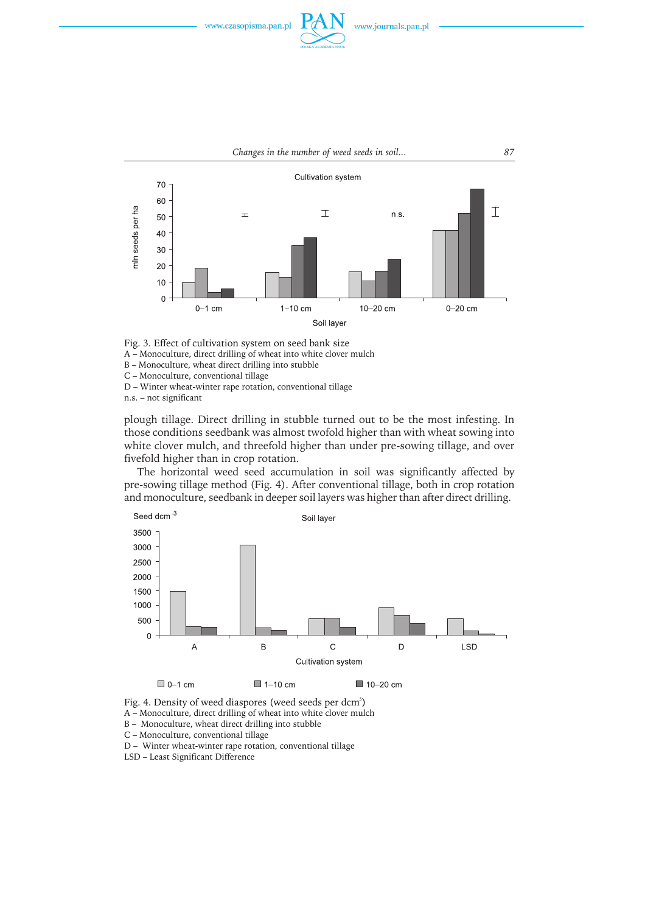



Fig. 3. Effect of cultivation system on seed bank size

A – Monoculture, direct drilling of wheat into white clover mulch

B – Monoculture, wheat direct drilling into stubble

C – Monoculture, conventional tillage D – Winter wheat-winter rape rotation, conventional tillage

n.s. – not significant

plough tillage. Direct drilling in stubble turned out to be the most infesting. In those conditions seedbank was almost twofold higher than with wheat sowing into white clover mulch, and threefold higher than under pre-sowing tillage, and over fivefold higher than in crop rotation.

The horizontal weed seed accumulation in soil was significantly affected by pre-sowing tillage method (Fig. 4). After conventional tillage, both in crop rotation and monoculture, seedbank in deeper soil layers was higher than after direct drilling.



Fig. 4. Density of weed diaspores (weed seeds per dcm<sup>3</sup>)

A – Monoculture, direct drilling of wheat into white clover mulch

B – Monoculture, wheat direct drilling into stubble

C – Monoculture, conventional tillage

D – Winter wheat-winter rape rotation, conventional tillage

LSD – Least Significant Difference

*Changes in the number of weed seeds in soil... 87*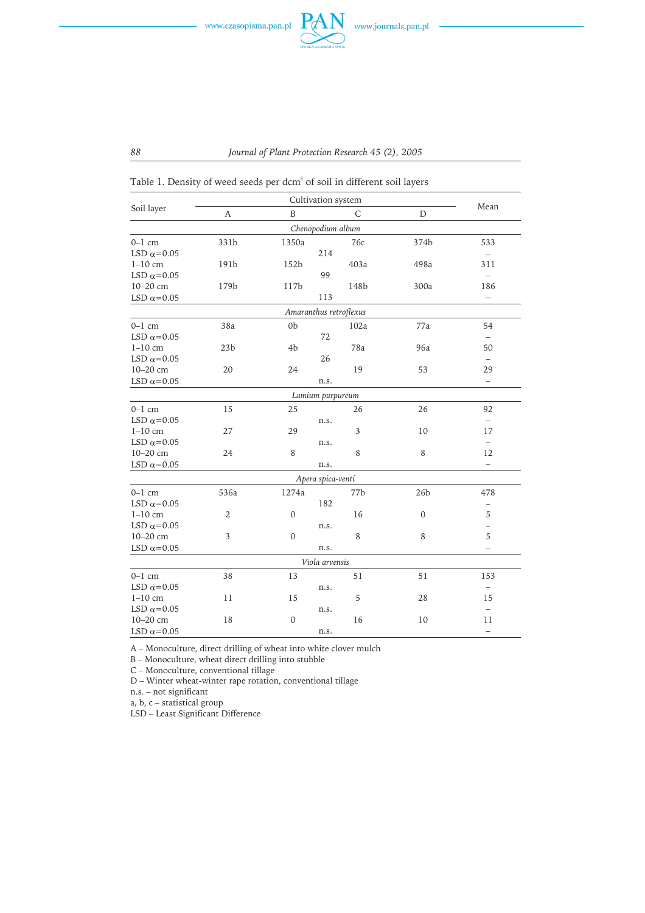

Table 1. Density of weed seeds per dcm $^3$  of soil in different soil layers

|                       | Cultivation system |                                  |                        |                 |                          |  |
|-----------------------|--------------------|----------------------------------|------------------------|-----------------|--------------------------|--|
| Soil layer            | А                  | B                                | C                      | D               | Mean                     |  |
|                       |                    |                                  | Chenopodium album      |                 |                          |  |
| $0-1$ cm              | 331b               | 1350a                            | 76с                    | 374b            | 533                      |  |
| LSD $\alpha$ =0.05    |                    | 214                              |                        |                 |                          |  |
| $1-10$ cm             | 191b               | 152b                             | 403a                   | 498a            | 311                      |  |
| LSD $\alpha$ =0.05    |                    |                                  | 99                     |                 | $\overline{\phantom{0}}$ |  |
| 10-20 cm              | 179b               | 117b                             | 148b                   | 300a            | 186                      |  |
| LSD $\alpha\!=\!0.05$ |                    |                                  | 113                    |                 | $\overline{\phantom{0}}$ |  |
|                       |                    |                                  | Amaranthus retroflexus |                 |                          |  |
| $0-1$ cm              | 38a                | 0 <sub>b</sub>                   | 102a                   | 77a             | 54                       |  |
| LSD $\alpha$ =0.05    |                    |                                  | 72                     |                 | $\qquad \qquad -$        |  |
| $1-10$ cm             | 23 <sub>b</sub>    | 4b                               | 78a                    | 96a             | 50                       |  |
| LSD $\alpha$ =0.05    |                    |                                  | 26                     |                 | $\overline{\phantom{0}}$ |  |
| 10-20 cm              | 20                 | 24                               | 19                     | 53              | 29                       |  |
| LSD $\alpha$ =0.05    |                    |                                  | n.s.                   |                 | $\overline{\phantom{0}}$ |  |
|                       |                    |                                  | Lamium purpureum       |                 |                          |  |
| $0-1$ cm              | 15                 | 25                               | 26                     | 26              | 92                       |  |
| LSD $\alpha$ =0.05    |                    |                                  | n.s.                   |                 | $\overline{\phantom{0}}$ |  |
| $1-10$ cm             | 27                 | 29                               | 3                      | 10              | 17                       |  |
| LSD $\alpha$ =0.05    |                    |                                  | n.s.                   |                 | $\qquad \qquad -$        |  |
| 10-20 cm              | 24                 | 8                                | 8                      | 8               | 12                       |  |
| LSD $\alpha$ =0.05    |                    |                                  | n.s.                   |                 | $\overline{\phantom{0}}$ |  |
|                       |                    |                                  | Apera spica-venti      |                 |                          |  |
| $0-1$ cm              | 536a               | 1274a                            | 77b                    | 26 <sub>b</sub> | 478                      |  |
| LSD $\alpha$ =0.05    |                    |                                  | 182                    |                 | <sup>-</sup>             |  |
| $1-10$ cm             | $\overline{2}$     | $\mathbf 0$                      | 16                     | 0               | 5                        |  |
| LSD $\alpha\!=\!0.05$ |                    |                                  | n.s.                   |                 | $\overline{\phantom{0}}$ |  |
| 10-20 cm              | 3                  | $\mathbf 0$                      | 8                      | 8               | 5                        |  |
| LSD $\alpha\!=\!0.05$ |                    |                                  | n.s.                   |                 | $\overline{\phantom{0}}$ |  |
|                       |                    |                                  | Viola arvensis         |                 |                          |  |
| $0-1$ cm              | 38                 | 13                               | 51                     | 51              | 153                      |  |
| LSD $\alpha$ =0.05    |                    |                                  | n.s.                   |                 | $\overline{\phantom{a}}$ |  |
| $1-10$ cm             | 11                 | 15                               | 5                      | 28              | 15                       |  |
| LSD $\alpha$ =0.05    |                    | n.s.                             |                        |                 |                          |  |
| 10-20 cm              | 18                 | $\mathbf 0$                      | 16                     | 10              | 11                       |  |
| LSD $\alpha$ =0.05    |                    | n.s.<br>$\overline{\phantom{0}}$ |                        |                 |                          |  |

A – Monoculture, direct drilling of wheat into white clover mulch

B – Monoculture, wheat direct drilling into stubble

C – Monoculture, conventional tillage

D – Winter wheat-winter rape rotation, conventional tillage

n.s. – not significant

a, b, c – statistical group

LSD – Least Significant Difference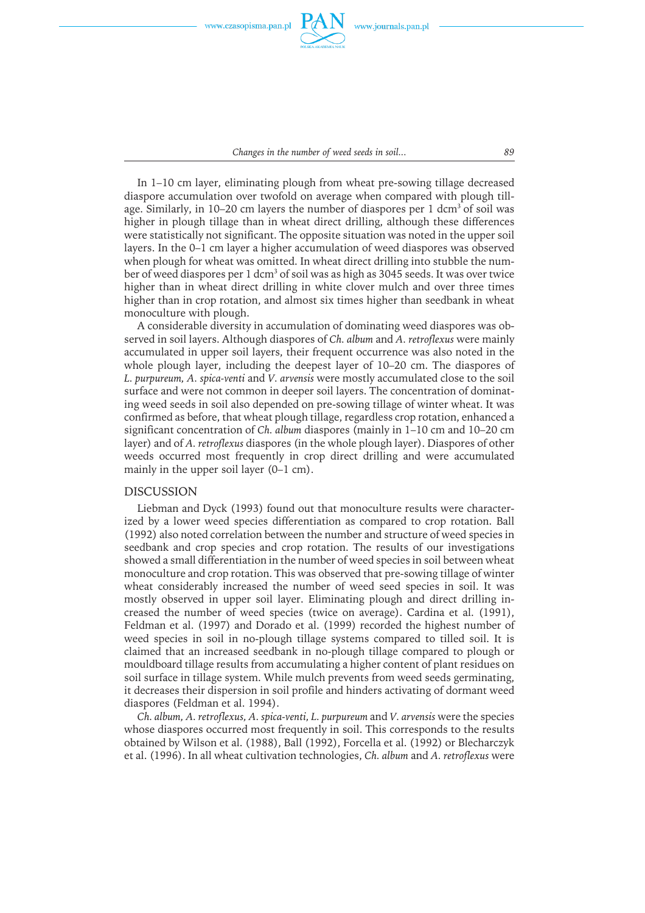

*Changes in the number of weed seeds in soil... 89*

In 1–10 cm layer, eliminating plough from wheat pre-sowing tillage decreased diaspore accumulation over twofold on average when compared with plough tillage. Similarly, in 10–20 cm layers the number of diaspores per 1 dcm<sup>3</sup> of soil was higher in plough tillage than in wheat direct drilling, although these differences were statistically not significant. The opposite situation was noted in the upper soil layers. In the 0–1 cm layer a higher accumulation of weed diaspores was observed when plough for wheat was omitted. In wheat direct drilling into stubble the number of weed diaspores per 1 dcm<sup>3</sup> of soil was as high as 3045 seeds. It was over twice higher than in wheat direct drilling in white clover mulch and over three times higher than in crop rotation, and almost six times higher than seedbank in wheat monoculture with plough.

A considerable diversity in accumulation of dominating weed diaspores was observed in soil layers. Although diaspores of *Ch. album* and *A. retroflexus* were mainly accumulated in upper soil layers, their frequent occurrence was also noted in the whole plough layer, including the deepest layer of 10–20 cm. The diaspores of *L. purpureum, A. spica-venti* and *V. arvensis* were mostly accumulated close to the soil surface and were not common in deeper soil layers. The concentration of dominating weed seeds in soil also depended on pre-sowing tillage of winter wheat. It was confirmed as before, that wheat plough tillage, regardless crop rotation, enhanced a significant concentration of *Ch. album* diaspores (mainly in 1–10 cm and 10–20 cm layer) and of *A. retroflexus* diaspores (in the whole plough layer). Diaspores of other weeds occurred most frequently in crop direct drilling and were accumulated mainly in the upper soil layer (0–1 cm).

#### DISCUSSION

Liebman and Dyck (1993) found out that monoculture results were characterized by a lower weed species differentiation as compared to crop rotation. Ball (1992) also noted correlation between the number and structure of weed species in seedbank and crop species and crop rotation. The results of our investigations showed a small differentiation in the number of weed species in soil between wheat monoculture and crop rotation. This was observed that pre-sowing tillage of winter wheat considerably increased the number of weed seed species in soil. It was mostly observed in upper soil layer. Eliminating plough and direct drilling increased the number of weed species (twice on average). Cardina et al. (1991), Feldman et al. (1997) and Dorado et al. (1999) recorded the highest number of weed species in soil in no-plough tillage systems compared to tilled soil. It is claimed that an increased seedbank in no-plough tillage compared to plough or mouldboard tillage results from accumulating a higher content of plant residues on soil surface in tillage system. While mulch prevents from weed seeds germinating, it decreases their dispersion in soil profile and hinders activating of dormant weed diaspores (Feldman et al. 1994).

*Ch. album, A. retroflexus, A. spica-venti, L. purpureum* and *V. arvensis* were the species whose diaspores occurred most frequently in soil. This corresponds to the results obtained by Wilson et al. (1988), Ball (1992), Forcella et al. (1992) or Blecharczyk et al. (1996). In all wheat cultivation technologies, *Ch. album* and *A. retroflexus* were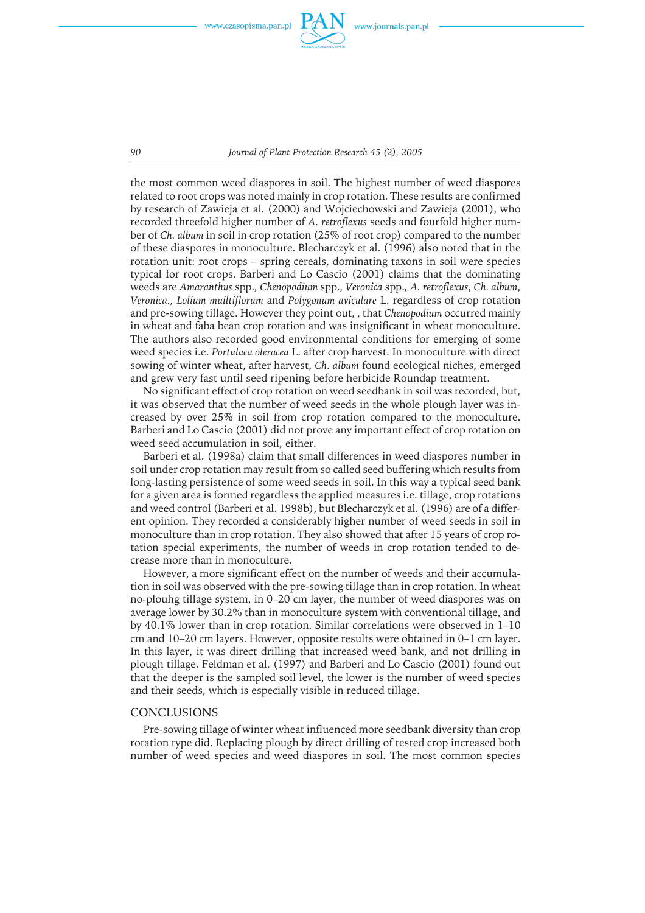

*90 Journal of Plant Protection Research 45 (2), 2005*

the most common weed diaspores in soil. The highest number of weed diaspores related to root crops was noted mainly in crop rotation. These results are confirmed by research of Zawieja et al. (2000) and Wojciechowski and Zawieja (2001), who recorded threefold higher number of *A. retroflexus* seeds and fourfold higher number of *Ch. album* in soil in crop rotation (25% of root crop) compared to the number of these diaspores in monoculture. Blecharczyk et al. (1996) also noted that in the rotation unit: root crops – spring cereals, dominating taxons in soil were species typical for root crops. Barberi and Lo Cascio (2001) claims that the dominating weedsare *Amaranthus* spp.*, Chenopodium* spp.*, Veronica* spp.*, A. retroflexus*, *Ch. album*, *Veronica., Lolium muiltiflorum* and *Polygonum aviculare* L. regardless of crop rotation and pre-sowing tillage. However they point out, , that *Chenopodium* occurred mainly in wheat and faba bean crop rotation and wasinsignificant in wheat monoculture. The authors also recorded good environmental conditions for emerging of some weed species i.e. *Portulaca oleracea* L. after crop harvest. In monoculture with direct sowing of winter wheat, after harvest, *Ch. album* found ecological niches, emerged and grew very fast until seed ripening before herbicide Roundap treatment.

No significant effect of crop rotation on weed seedbank in soil was recorded, but, it was observed that the number of weed seeds in the whole plough layer was increased by over 25% in soil from crop rotation compared to the monoculture. Barberi and Lo Cascio (2001) did not prove any important effect of crop rotation on weed seed accumulation in soil, either.

Barberi et al. (1998a) claim that small differences in weed diaspores number in soil under crop rotation may result from so called seed buffering which results from long-lasting persistence of some weed seeds in soil. In this way a typical seed bank for a given area is formed regardless the applied measures i.e. tillage, crop rotations and weed control (Barberi et al. 1998b), but Blecharczyk et al. (1996) are of a different opinion. They recorded a considerably higher number of weed seeds in soil in monoculture than in crop rotation. They also showed that after 15 years of crop rotation special experiments, the number of weeds in crop rotation tended to decrease more than in monoculture.

However, a more significant effect on the number of weeds and their accumulation in soil was observed with the pre-sowing tillage than in crop rotation. In wheat no-plouhg tillage system, in 0–20 cm layer, the number of weed diaspores was on average lower by 30.2% than in monoculture system with conventional tillage, and by 40.1% lower than in crop rotation. Similar correlations were observed in  $1-10$ cm and 10–20 cm layers. However, opposite results were obtained in 0–1 cm layer. In this layer, it was direct drilling that increased weed bank, and not drilling in plough tillage. Feldman et al. (1997) and Barberi and Lo Cascio (2001) found out that the deeper is the sampled soil level, the lower is the number of weed species and their seeds, which is especially visible in reduced tillage.

#### **CONCLUSIONS**

Pre-sowing tillage of winter wheat influenced more seedbank diversity than crop rotation type did. Replacing plough by direct drilling of tested crop increased both number of weed species and weed diaspores in soil. The most common species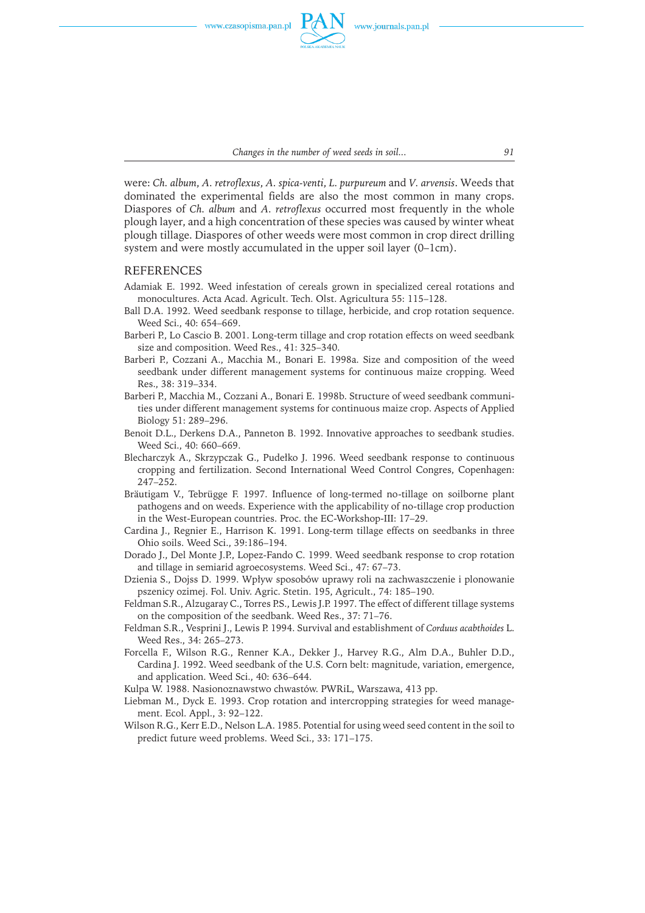

*Changes in the number of weed seeds in soil... 91*

were: *Ch. album*, *A. retroflexus*, *A. spica-venti*, *L. purpureum* and *V. arvensis*. Weedsthat dominated the experimental fields are also the most common in many crops. Diaspores of *Ch. album* and *A. retroflexus* occurred most frequently in the whole plough layer, and a high concentration of these species was caused by winter wheat plough tillage. Diaspores of other weeds were most common in crop direct drilling system and were mostly accumulated in the upper soil layer (0–1cm).

# REFERENCES

- Adamiak E. 1992. Weed infestation of cereals grown in specialized cereal rotations and monocultures. Acta Acad. Agricult. Tech. Olst. Agricultura 55: 115–128.
- Ball D.A. 1992. Weed seedbank response to tillage, herbicide, and crop rotation sequence. Weed Sci., 40: 654–669.
- Barberi P., Lo Cascio B. 2001. Long-term tillage and crop rotation effects on weed seedbank size and composition. Weed Res., 41: 325–340.
- Barberi P., Cozzani A., Macchia M., Bonari E. 1998a. Size and composition of the weed seedbank under different management systems for continuous maize cropping. Weed Res., 38: 319–334.
- Barberi P., Macchia M., Cozzani A., Bonari E. 1998b. Structure of weed seedbank communities under different management systems for continuous maize crop. Aspects of Applied Biology 51: 289–296.
- Benoit D.L., Derkens D.A., Panneton B. 1992. Innovative approaches to seedbank studies. Weed Sci., 40: 660–669.
- Blecharczyk A., Skrzypczak G., Pudełko J. 1996. Weed seedbank response to continuous cropping and fertilization. Second International Weed Control Congres, Copenhagen: 247–252.
- Bräutigam V., Tebrügge F. 1997. Influence of long-termed no-tillage on soilborne plant pathogensand on weeds. Experience with the applicability of no-tillage crop production in the West-European countries. Proc. the EC-Workshop-III: 17–29.
- Cardina J., Regnier E., Harrison K. 1991. Long-term tillage effects on seedbanks in three Ohio soils. Weed Sci., 39:186–194.
- Dorado J., Del Monte J.P., Lopez-Fando C. 1999. Weed seedbank response to crop rotation and tillage in semiarid agroecosystems. Weed Sci., 47: 67–73.
- Dzienia S., Dojss D. 1999. Wpływ sposobów uprawy roli na zachwaszczenie i plonowanie pszenicy ozimej. Fol. Univ. Agric. Stetin. 195, Agricult., 74: 185–190.
- Feldman S.R., Alzugaray C., Torres P.S., Lewis J.P. 1997. The effect of different tillage systems on the composition of the seedbank. Weed Res., 37: 71–76.
- Feldman S.R., Vesprini J., Lewis P. 1994. Survival and establishment of *Corduus acabthoides* L. Weed Res., 34: 265–273.
- Forcella F., Wilson R.G., Renner K.A., Dekker J., Harvey R.G., Alm D.A., Buhler D.D., Cardina J. 1992. Weed seedbank of the U.S. Corn belt: magnitude, variation, emergence, and application. Weed Sci., 40: 636–644.

Kulpa W. 1988. Nasionoznawstwo chwastów. PWRiL, Warszawa, 413 pp.

- Liebman M., Dyck E. 1993. Crop rotation and intercropping strategies for weed management. Ecol. Appl., 3: 92–122.
- Wilson R.G., Kerr E.D., Nelson L.A. 1985. Potential for using weed seed content in the soil to predict future weed problems. Weed Sci., 33: 171–175.